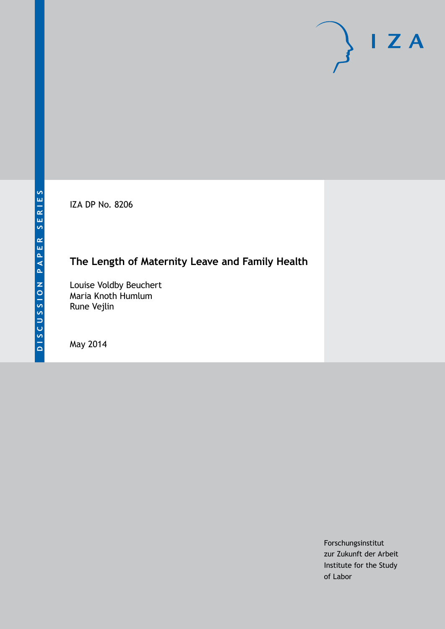IZA DP No. 8206

## **The Length of Maternity Leave and Family Health**

Louise Voldby Beuchert Maria Knoth Humlum Rune Vejlin

May 2014

Forschungsinstitut zur Zukunft der Arbeit Institute for the Study of Labor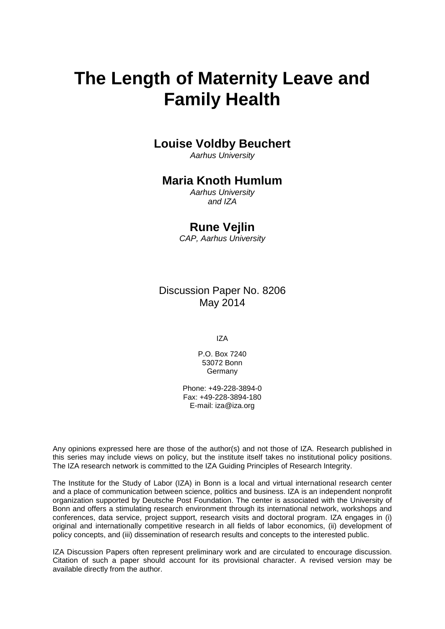# **The Length of Maternity Leave and Family Health**

## **Louise Voldby Beuchert**

*Aarhus University*

## **Maria Knoth Humlum**

*Aarhus University and IZA*

### **Rune Vejlin**

*CAP, Aarhus University*

Discussion Paper No. 8206 May 2014

IZA

P.O. Box 7240 53072 Bonn **Germany** 

Phone: +49-228-3894-0 Fax: +49-228-3894-180 E-mail: [iza@iza.org](mailto:iza@iza.org)

Any opinions expressed here are those of the author(s) and not those of IZA. Research published in this series may include views on policy, but the institute itself takes no institutional policy positions. The IZA research network is committed to the IZA Guiding Principles of Research Integrity.

The Institute for the Study of Labor (IZA) in Bonn is a local and virtual international research center and a place of communication between science, politics and business. IZA is an independent nonprofit organization supported by Deutsche Post Foundation. The center is associated with the University of Bonn and offers a stimulating research environment through its international network, workshops and conferences, data service, project support, research visits and doctoral program. IZA engages in (i) original and internationally competitive research in all fields of labor economics, (ii) development of policy concepts, and (iii) dissemination of research results and concepts to the interested public.

<span id="page-1-0"></span>IZA Discussion Papers often represent preliminary work and are circulated to encourage discussion. Citation of such a paper should account for its provisional character. A revised version may be available directly from the author.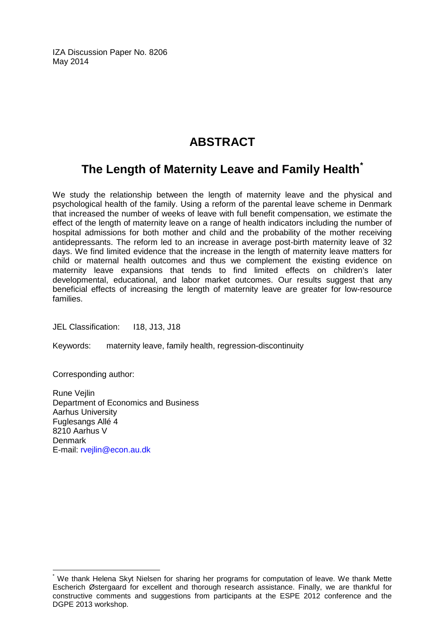IZA Discussion Paper No. 8206 May 2014

## **ABSTRACT**

## **The Length of Maternity Leave and Family Health[\\*](#page-1-0)**

We study the relationship between the length of maternity leave and the physical and psychological health of the family. Using a reform of the parental leave scheme in Denmark that increased the number of weeks of leave with full benefit compensation, we estimate the effect of the length of maternity leave on a range of health indicators including the number of hospital admissions for both mother and child and the probability of the mother receiving antidepressants. The reform led to an increase in average post-birth maternity leave of 32 days. We find limited evidence that the increase in the length of maternity leave matters for child or maternal health outcomes and thus we complement the existing evidence on maternity leave expansions that tends to find limited effects on children's later developmental, educational, and labor market outcomes. Our results suggest that any beneficial effects of increasing the length of maternity leave are greater for low-resource families.

JEL Classification: I18, J13, J18

Keywords: maternity leave, family health, regression-discontinuity

Corresponding author:

Rune Vejlin Department of Economics and Business Aarhus University Fuglesangs Allé 4 8210 Aarhus V Denmark E-mail: [rvejlin@econ.au.dk](mailto:rvejlin@econ.au.dk)

We thank Helena Skyt Nielsen for sharing her programs for computation of leave. We thank Mette Escherich Østergaard for excellent and thorough research assistance. Finally, we are thankful for constructive comments and suggestions from participants at the ESPE 2012 conference and the DGPE 2013 workshop.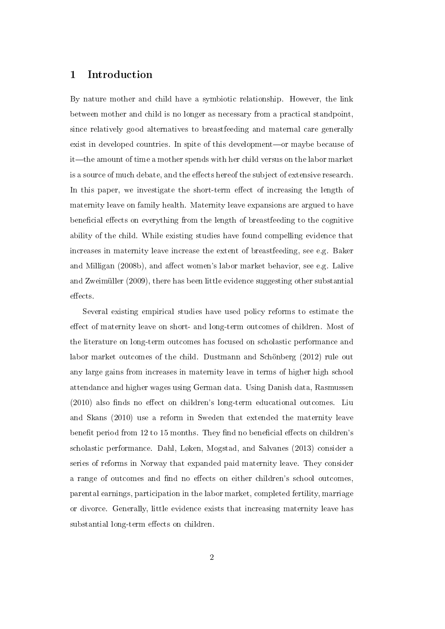#### 1 Introduction

By nature mother and child have a symbiotic relationship. However, the link between mother and child is no longer as necessary from a practical standpoint, since relatively good alternatives to breastfeeding and maternal care generally exist in developed countries. In spite of this development—or maybe because of it—the amount of time a mother spends with her child versus on the labor market is a source of much debate, and the effects hereof the subject of extensive research. In this paper, we investigate the short-term effect of increasing the length of maternity leave on family health. Maternity leave expansions are argued to have beneficial effects on everything from the length of breastfeeding to the cognitive ability of the child. While existing studies have found compelling evidence that increases in maternity leave increase the extent of breastfeeding, see e.g. Baker and Milligan (2008b), and affect women's labor market behavior, see e.g. Lalive and Zweimüller (2009), there has been little evidence suggesting other substantial effects.

Several existing empirical studies have used policy reforms to estimate the effect of maternity leave on short- and long-term outcomes of children. Most of the literature on long-term outcomes has focused on scholastic performance and labor market outcomes of the child. Dustmann and Schönberg (2012) rule out any large gains from increases in maternity leave in terms of higher high school attendance and higher wages using German data. Using Danish data, Rasmussen  $(2010)$  also finds no effect on children's long-term educational outcomes. Liu and Skans (2010) use a reform in Sweden that extended the maternity leave benefit period from 12 to 15 months. They find no beneficial effects on children's scholastic performance. Dahl, Løken, Mogstad, and Salvanes (2013) consider a series of reforms in Norway that expanded paid maternity leave. They consider a range of outcomes and find no effects on either children's school outcomes, parental earnings, participation in the labor market, completed fertility, marriage or divorce. Generally, little evidence exists that increasing maternity leave has substantial long-term effects on children.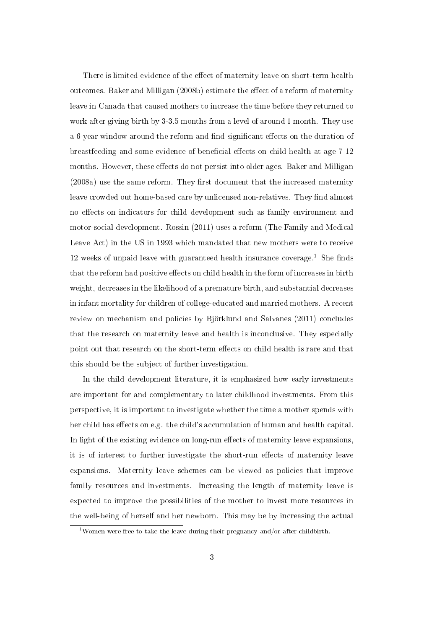There is limited evidence of the effect of maternity leave on short-term health outcomes. Baker and Milligan (2008b) estimate the effect of a reform of maternity leave in Canada that caused mothers to increase the time before they returned to work after giving birth by 3-3.5 months from a level of around 1 month. They use a 6-year window around the reform and find significant effects on the duration of breastfeeding and some evidence of beneficial effects on child health at age 7-12 months. However, these effects do not persist into older ages. Baker and Milligan  $(2008a)$  use the same reform. They first document that the increased maternity leave crowded out home-based care by unlicensed non-relatives. They find almost no effects on indicators for child development such as family environment and motor-social development. Rossin (2011) uses a reform (The Family and Medical Leave Act) in the US in 1993 which mandated that new mothers were to receive 12 weeks of unpaid leave with guaranteed health insurance coverage.<sup>1</sup> She finds that the reform had positive effects on child health in the form of increases in birth weight, decreases in the likelihood of a premature birth, and substantial decreases in infant mortality for children of college-educated and married mothers. A recent review on mechanism and policies by Björklund and Salvanes (2011) concludes that the research on maternity leave and health is inconclusive. They especially point out that research on the short-term effects on child health is rare and that this should be the subject of further investigation.

In the child development literature, it is emphasized how early investments are important for and complementary to later childhood investments. From this perspective, it is important to investigate whether the time a mother spends with her child has effects on e.g. the child's accumulation of human and health capital. In light of the existing evidence on long-run effects of maternity leave expansions. it is of interest to further investigate the short-run effects of maternity leave expansions. Maternity leave schemes can be viewed as policies that improve family resources and investments. Increasing the length of maternity leave is expected to improve the possibilities of the mother to invest more resources in the well-being of herself and her newborn. This may be by increasing the actual

<sup>&</sup>lt;sup>1</sup>Women were free to take the leave during their pregnancy and/or after childbirth.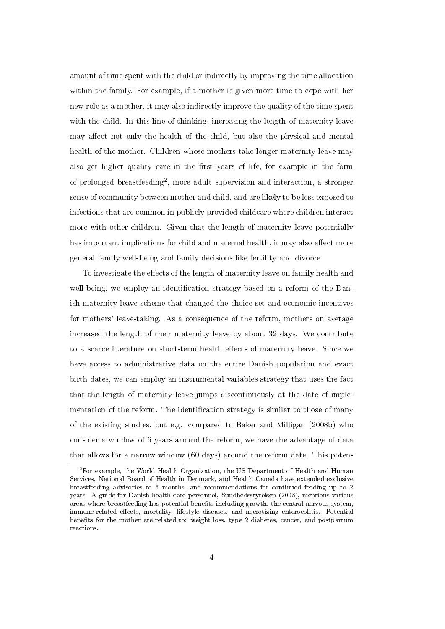amount of time spent with the child or indirectly by improving the time allocation within the family. For example, if a mother is given more time to cope with her new role as a mother, it may also indirectly improve the quality of the time spent with the child. In this line of thinking, increasing the length of maternity leave may affect not only the health of the child, but also the physical and mental health of the mother. Children whose mothers take longer maternity leave may also get higher quality care in the first years of life, for example in the form of prolonged breastfeeding<sup>2</sup>, more adult supervision and interaction, a stronger sense of community between mother and child, and are likely to be less exposed to infections that are common in publicly provided childcare where children interact more with other children. Given that the length of maternity leave potentially has important implications for child and maternal health, it may also affect more general family well-being and family decisions like fertility and divorce.

To investigate the effects of the length of maternity leave on family health and well-being, we employ an identification strategy based on a reform of the Danish maternity leave scheme that changed the choice set and economic incentives for mothers' leave-taking. As a consequence of the reform, mothers on average increased the length of their maternity leave by about 32 days. We contribute to a scarce literature on short-term health effects of maternity leave. Since we have access to administrative data on the entire Danish population and exact birth dates, we can employ an instrumental variables strategy that uses the fact that the length of maternity leave jumps discontinuously at the date of implementation of the reform. The identification strategy is similar to those of many of the existing studies, but e.g. compared to Baker and Milligan (2008b) who consider a window of 6 years around the reform, we have the advantage of data that allows for a narrow window (60 days) around the reform date. This poten-

 ${}^{2}$  For example, the World Health Organization, the US Department of Health and Human Services, National Board of Health in Denmark, and Health Canada have extended exclusive breastfeeding advisories to 6 months, and recommendations for continued feeding up to 2 years. A guide for Danish health care personnel, Sundhedsstyrelsen (2008), mentions various areas where breastfeeding has potential benefits including growth, the central nervous system, immune-related effects, mortality, lifestyle diseases, and necrotizing enterocolitis. Potential benets for the mother are related to: weight loss, type 2 diabetes, cancer, and postpartum reactions.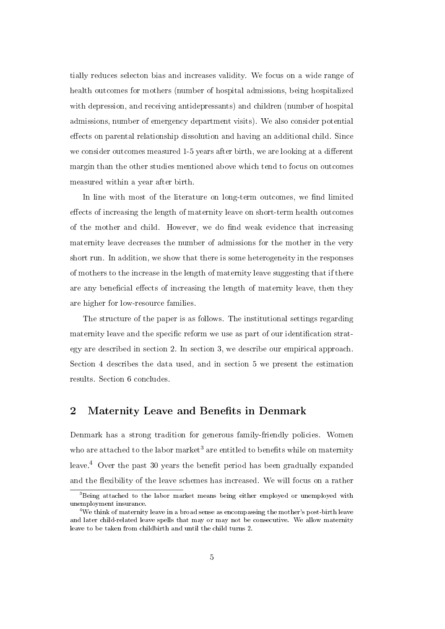tially reduces selecton bias and increases validity. We focus on a wide range of health outcomes for mothers (number of hospital admissions, being hospitalized with depression, and receiving antidepressants) and children (number of hospital admissions, number of emergency department visits). We also consider potential effects on parental relationship dissolution and having an additional child. Since we consider outcomes measured 1-5 years after birth, we are looking at a different margin than the other studies mentioned above which tend to focus on outcomes measured within a year after birth.

In line with most of the literature on long-term outcomes, we find limited effects of increasing the length of maternity leave on short-term health outcomes of the mother and child. However, we do find weak evidence that increasing maternity leave decreases the number of admissions for the mother in the very short run. In addition, we show that there is some heterogeneity in the responses of mothers to the increase in the length of maternity leave suggesting that if there are any beneficial effects of increasing the length of maternity leave, then they are higher for low-resource families.

The structure of the paper is as follows. The institutional settings regarding maternity leave and the specific reform we use as part of our identification strategy are described in section 2. In section 3, we describe our empirical approach. Section 4 describes the data used, and in section 5 we present the estimation results. Section 6 concludes.

#### 2 Maternity Leave and Benefits in Denmark

Denmark has a strong tradition for generous family-friendly policies. Women who are attached to the labor market<sup>3</sup> are entitled to benefits while on maternity leave.<sup>4</sup> Over the past 30 years the benefit period has been gradually expanded and the flexibility of the leave schemes has increased. We will focus on a rather

<sup>&</sup>lt;sup>3</sup>Being attached to the labor market means being either employed or unemployed with unemployment insurance.

<sup>4</sup>We think of maternity leave in a broad sense as encompassing the mother's post-birth leave and later child-related leave spells that may or may not be consecutive. We allow maternity leave to be taken from childbirth and until the child turns 2.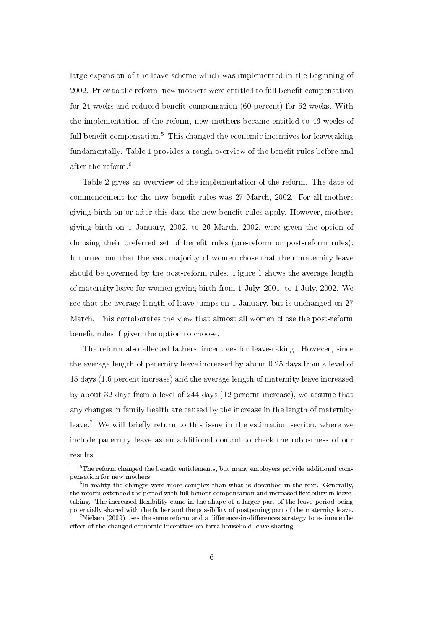large expansion of the leave scheme which was implemented in the beginning of 2002. Prior to the reform, new mothers were entitled to full benefit compensation for 24 weeks and reduced benefit compensation (60 percent) for  $52$  weeks. With the implementation of the reform, new mothers became entitled to 46 weeks of full benefit compensation.<sup>5</sup> This changed the economic incentives for leavetaking fundamentally. Table 1 provides a rough overview of the benefit rules before and after the reform.<sup>6</sup>

Table 2 gives an overview of the implementation of the reform. The date of commencement for the new benefit rules was 27 March, 2002. For all mothers giving birth on or after this date the new benefit rules apply. However, mothers giving birth on 1 January, 2002, to 26 March, 2002, were given the option of choosing their preferred set of benefit rules (pre-reform or post-reform rules). It turned out that the vast majority of women chose that their maternity leave should be governed by the post-reform rules. Figure 1 shows the average length of maternity leave for women giving birth from 1 July, 2001, to 1 July, 2002. We see that the average length of leave jumps on 1 January, but is unchanged on 27 March. This corroborates the view that almost all women chose the post-reform benefit rules if given the option to choose.

The reform also affected fathers' incentives for leave-taking. However, since the average length of paternity leave increased by about 0.25 days from a level of 15 days (1.6 percent increase) and the average length of maternity leave increased by about 32 days from a level of 244 days (12 percent increase), we assume that any changes in family health are caused by the increase in the length of maternity leave.<sup>7</sup> We will briefly return to this issue in the estimation section, where we include paternity leave as an additional control to check the robustness of our results.

 $^5\mathrm{The\,\,r}$  changed the benefit entitlements, but many employers provide additional compensation for new mothers.

 $^6$ In reality the changes were more complex than what is described in the text. Generally, the reform extended the period with full benefit compensation and increased flexibility in leavetaking. The increased flexibility came in the shape of a larger part of the leave period being potentially shared with the father and the possibility of postponing part of the maternity leave.

 $^7$  Nielsen (2009) uses the same reform and a difference-in-differences strategy to estimate the effect of the changed economic incentives on intra-household leave-sharing.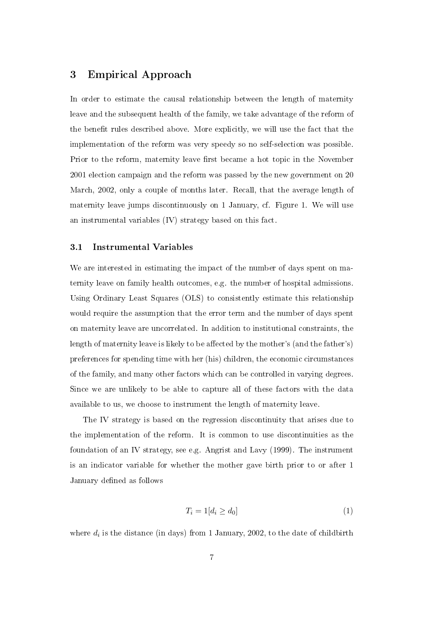### 3 Empirical Approach

In order to estimate the causal relationship between the length of maternity leave and the subsequent health of the family, we take advantage of the reform of the benefit rules described above. More explicitly, we will use the fact that the implementation of the reform was very speedy so no self-selection was possible. Prior to the reform, maternity leave first became a hot topic in the November 2001 election campaign and the reform was passed by the new government on 20 March, 2002, only a couple of months later. Recall, that the average length of maternity leave jumps discontinuously on 1 January, cf. Figure 1. We will use an instrumental variables (IV) strategy based on this fact.

#### 3.1 Instrumental Variables

We are interested in estimating the impact of the number of days spent on maternity leave on family health outcomes, e.g. the number of hospital admissions. Using Ordinary Least Squares (OLS) to consistently estimate this relationship would require the assumption that the error term and the number of days spent on maternity leave are uncorrelated. In addition to institutional constraints, the length of maternity leave is likely to be affected by the mother's (and the father's) preferences for spending time with her (his) children, the economic circumstances of the family, and many other factors which can be controlled in varying degrees. Since we are unlikely to be able to capture all of these factors with the data available to us, we choose to instrument the length of maternity leave.

The IV strategy is based on the regression discontinuity that arises due to the implementation of the reform. It is common to use discontinuities as the foundation of an IV strategy, see e.g. Angrist and Lavy (1999). The instrument is an indicator variable for whether the mother gave birth prior to or after 1 January defined as follows

$$
T_i = 1[d_i \ge d_0] \tag{1}
$$

where  $d_i$  is the distance (in days) from 1 January, 2002, to the date of childbirth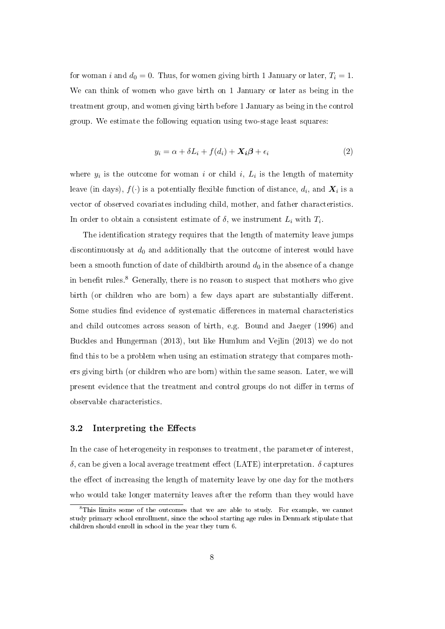for woman i and  $d_0 = 0$ . Thus, for women giving birth 1 January or later,  $T_i = 1$ . We can think of women who gave birth on 1 January or later as being in the treatment group, and women giving birth before 1 January as being in the control group. We estimate the following equation using two-stage least squares:

$$
y_i = \alpha + \delta L_i + f(d_i) + \mathbf{X}_i \boldsymbol{\beta} + \epsilon_i
$$
\n(2)

where  $y_i$  is the outcome for woman i or child i,  $L_i$  is the length of maternity leave (in days),  $f(\cdot)$  is a potentially flexible function of distance,  $d_i$ , and  $\boldsymbol{X}_i$  is a vector of observed covariates including child, mother, and father characteristics. In order to obtain a consistent estimate of  $\delta$ , we instrument  $L_i$  with  $T_i$ .

The identification strategy requires that the length of maternity leave jumps discontinuously at  $d_0$  and additionally that the outcome of interest would have been a smooth function of date of childbirth around  $d_0$  in the absence of a change in benefit rules.<sup>8</sup> Generally, there is no reason to suspect that mothers who give birth (or children who are born) a few days apart are substantially different. Some studies find evidence of systematic differences in maternal characteristics and child outcomes across season of birth, e.g. Bound and Jaeger (1996) and Buckles and Hungerman (2013), but like Humlum and Vejlin (2013) we do not find this to be a problem when using an estimation strategy that compares mothers giving birth (or children who are born) within the same season. Later, we will present evidence that the treatment and control groups do not differ in terms of observable characteristics.

#### 3.2 Interpreting the Effects

In the case of heterogeneity in responses to treatment, the parameter of interest,  $\delta$ , can be given a local average treatment effect (LATE) interpretation.  $\delta$  captures the effect of increasing the length of maternity leave by one day for the mothers who would take longer maternity leaves after the reform than they would have

<sup>&</sup>lt;sup>8</sup>This limits some of the outcomes that we are able to study. For example, we cannot study primary school enrollment, since the school starting age rules in Denmark stipulate that children should enroll in school in the year they turn 6.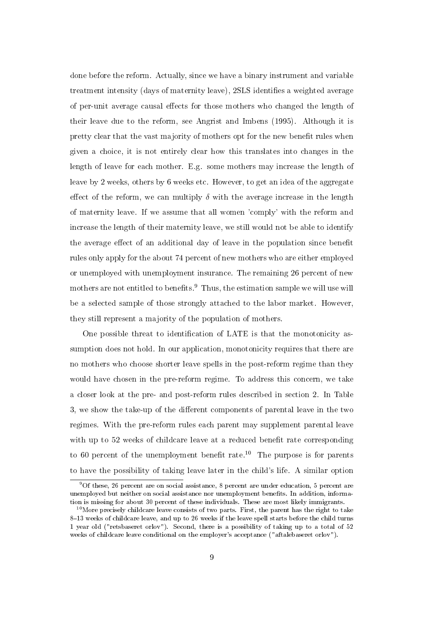done before the reform. Actually, since we have a binary instrument and variable treatment intensity (days of maternity leave), 2SLS identifies a weighted average of per-unit average causal effects for those mothers who changed the length of their leave due to the reform, see Angrist and Imbens (1995). Although it is pretty clear that the vast majority of mothers opt for the new benefit rules when given a choice, it is not entirely clear how this translates into changes in the length of leave for each mother. E.g. some mothers may increase the length of leave by 2 weeks, others by 6 weeks etc. However, to get an idea of the aggregate effect of the reform, we can multiply  $\delta$  with the average increase in the length of maternity leave. If we assume that all women 'comply' with the reform and increase the length of their maternity leave, we still would not be able to identify the average effect of an additional day of leave in the population since benefit rules only apply for the about 74 percent of new mothers who are either employed or unemployed with unemployment insurance. The remaining 26 percent of new mothers are not entitled to benefits.<sup>9</sup> Thus, the estimation sample we will use will be a selected sample of those strongly attached to the labor market. However, they still represent a majority of the population of mothers.

One possible threat to identification of LATE is that the monotonicity assumption does not hold. In our application, monotonicity requires that there are no mothers who choose shorter leave spells in the post-reform regime than they would have chosen in the pre-reform regime. To address this concern, we take a closer look at the pre- and post-reform rules described in section 2. In Table 3, we show the take-up of the different components of parental leave in the two regimes. With the pre-reform rules each parent may supplement parental leave with up to 52 weeks of childcare leave at a reduced benefit rate corresponding to 60 percent of the unemployment benefit rate.<sup>10</sup> The purpose is for parents to have the possibility of taking leave later in the child's life. A similar option

<sup>9</sup>Of these, 26 percent are on social assistance, 8 percent are under education, 5 percent are unemployed but neither on social assistance nor unemployment benets. In addition, information is missing for about 30 percent of these individuals. These are most likely immigrants.

 $10$ More precisely childcare leave consists of two parts. First, the parent has the right to take  $8-13$  weeks of childcare leave, and up to 26 weeks if the leave spell starts before the child turns 1 year old ("retsbaseret orlov"). Second, there is a possibility of taking up to a total of 52 weeks of childcare leave conditional on the employer's acceptance ("aftalebaseret orlov").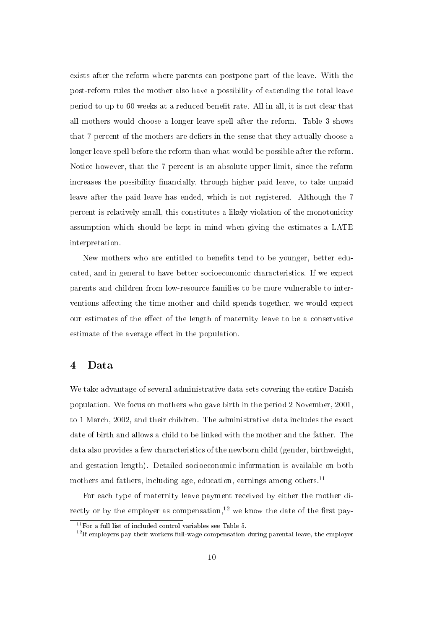exists after the reform where parents can postpone part of the leave. With the post-reform rules the mother also have a possibility of extending the total leave period to up to 60 weeks at a reduced benefit rate. All in all, it is not clear that all mothers would choose a longer leave spell after the reform. Table 3 shows that 7 percent of the mothers are defiers in the sense that they actually choose a longer leave spell before the reform than what would be possible after the reform. Notice however, that the 7 percent is an absolute upper limit, since the reform increases the possibility financially, through higher paid leave, to take unpaid leave after the paid leave has ended, which is not registered. Although the 7 percent is relatively small, this constitutes a likely violation of the monotonicity assumption which should be kept in mind when giving the estimates a LATE interpretation.

New mothers who are entitled to benefits tend to be younger, better educated, and in general to have better socioeconomic characteristics. If we expect parents and children from low-resource families to be more vulnerable to interventions affecting the time mother and child spends together, we would expect our estimates of the effect of the length of maternity leave to be a conservative estimate of the average effect in the population.

#### 4 Data

We take advantage of several administrative data sets covering the entire Danish population. We focus on mothers who gave birth in the period 2 November, 2001, to 1 March, 2002, and their children. The administrative data includes the exact date of birth and allows a child to be linked with the mother and the father. The data also provides a few characteristics of the newborn child (gender, birthweight, and gestation length). Detailed socioeconomic information is available on both mothers and fathers, including age, education, earnings among others.<sup>11</sup>

For each type of maternity leave payment received by either the mother directly or by the employer as compensation,<sup>12</sup> we know the date of the first pay-

 $11$  For a full list of included control variables see Table 5.

 $12$ If employers pay their workers full-wage compensation during parental leave, the employer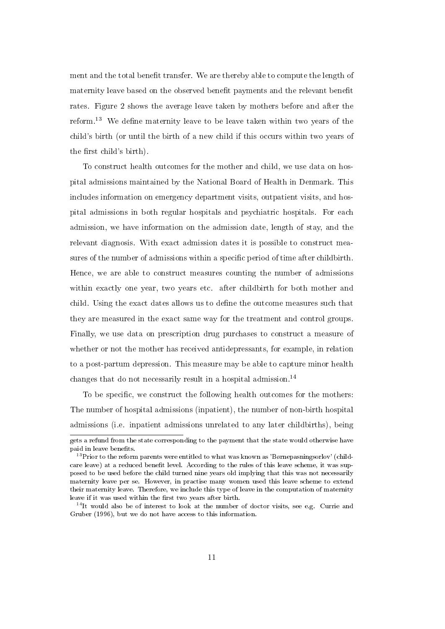ment and the total benefit transfer. We are thereby able to compute the length of maternity leave based on the observed benefit payments and the relevant benefit rates. Figure 2 shows the average leave taken by mothers before and after the reform.<sup>13</sup> We define maternity leave to be leave taken within two years of the child's birth (or until the birth of a new child if this occurs within two years of the first child's birth).

To construct health outcomes for the mother and child, we use data on hospital admissions maintained by the National Board of Health in Denmark. This includes information on emergency department visits, outpatient visits, and hospital admissions in both regular hospitals and psychiatric hospitals. For each admission, we have information on the admission date, length of stay, and the relevant diagnosis. With exact admission dates it is possible to construct measures of the number of admissions within a specific period of time after childbirth. Hence, we are able to construct measures counting the number of admissions within exactly one year, two years etc. after childbirth for both mother and child. Using the exact dates allows us to dene the outcome measures such that they are measured in the exact same way for the treatment and control groups. Finally, we use data on prescription drug purchases to construct a measure of whether or not the mother has received antidepressants, for example, in relation to a post-partum depression. This measure may be able to capture minor health changes that do not necessarily result in a hospital admission.<sup>14</sup>

To be specific, we construct the following health outcomes for the mothers: The number of hospital admissions (inpatient), the number of non-birth hospital admissions (i.e. inpatient admissions unrelated to any later childbirths), being

gets a refund from the state corresponding to the payment that the state would otherwise have paid in leave benefits.

<sup>&</sup>lt;sup>13</sup>Prior to the reform parents were entitled to what was known as 'Børnepasningsorlov' (childcare leave) at a reduced benefit level. According to the rules of this leave scheme, it was supposed to be used before the child turned nine years old implying that this was not necessarily maternity leave per se. However, in practise many women used this leave scheme to extend their maternity leave. Therefore, we include this type of leave in the computation of maternity leave if it was used within the first two years after birth.

 $14$ It would also be of interest to look at the number of doctor visits, see e.g. Currie and Gruber (1996), but we do not have access to this information.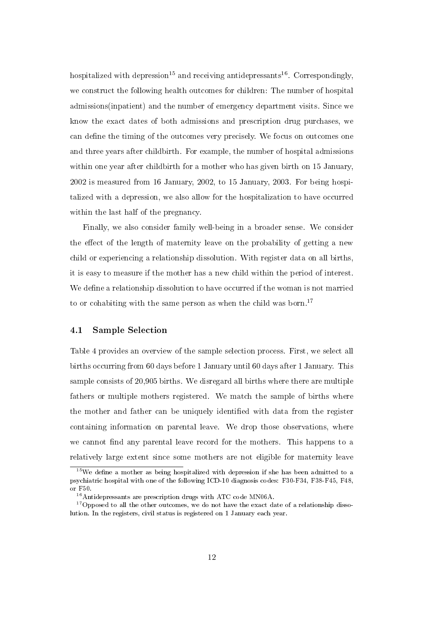hospitalized with depression<sup>15</sup> and receiving antidepressants<sup>16</sup>. Correspondingly, we construct the following health outcomes for children: The number of hospital admissions(inpatient) and the number of emergency department visits. Since we know the exact dates of both admissions and prescription drug purchases, we can define the timing of the outcomes very precisely. We focus on outcomes one and three years after childbirth. For example, the number of hospital admissions within one year after childbirth for a mother who has given birth on 15 January, 2002 is measured from 16 January, 2002, to 15 January, 2003. For being hospitalized with a depression, we also allow for the hospitalization to have occurred within the last half of the pregnancy.

Finally, we also consider family well-being in a broader sense. We consider the effect of the length of maternity leave on the probability of getting a new child or experiencing a relationship dissolution. With register data on all births, it is easy to measure if the mother has a new child within the period of interest. We define a relationship dissolution to have occurred if the woman is not married to or cohabiting with the same person as when the child was born.<sup>17</sup>

#### 4.1 Sample Selection

Table 4 provides an overview of the sample selection process. First, we select all births occurring from 60 days before 1 January until 60 days after 1 January. This sample consists of 20,905 births. We disregard all births where there are multiple fathers or multiple mothers registered. We match the sample of births where the mother and father can be uniquely identified with data from the register containing information on parental leave. We drop those observations, where we cannot find any parental leave record for the mothers. This happens to a relatively large extent since some mothers are not eligible for maternity leave

 $15$ We define a mother as being hospitalized with depression if she has been admitted to a psychiatric hospital with one of the following ICD-10 diagnosis codes: F30-F34, F38-F45, F48, or F50.

<sup>&</sup>lt;sup>16</sup> Antidepressants are prescription drugs with ATC code MN06A.

 $17$  Opposed to all the other outcomes, we do not have the exact date of a relationship dissolution. In the registers, civil status is registered on 1 January each year.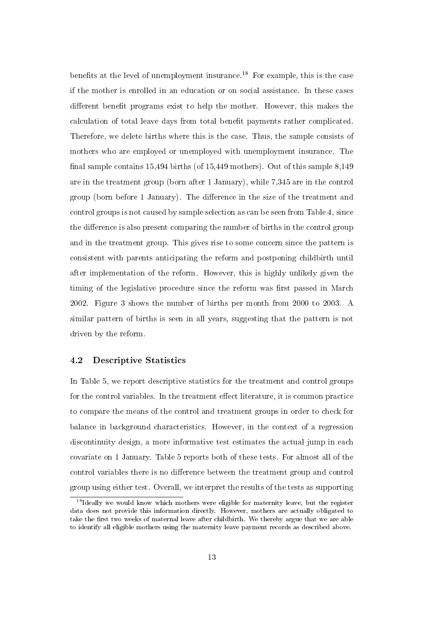benefits at the level of unemployment insurance.<sup>18</sup> For example, this is the case if the mother is enrolled in an education or on social assistance. In these cases different benefit programs exist to help the mother. However, this makes the calculation of total leave days from total benefit payments rather complicated. Therefore, we delete births where this is the case. Thus, the sample consists of mothers who are employed or unemployed with unemployment insurance. The final sample contains  $15,494$  births (of  $15,449$  mothers). Out of this sample  $8,149$ are in the treatment group (born after 1 January), while 7,345 are in the control group (born before 1 January). The difference in the size of the treatment and control groups is not caused by sample selection as can be seen from Table 4, since the difference is also present comparing the number of births in the control group and in the treatment group. This gives rise to some concern since the pattern is consistent with parents anticipating the reform and postponing childbirth until after implementation of the reform. However, this is highly unlikely given the timing of the legislative procedure since the reform was first passed in March 2002. Figure 3 shows the number of births per month from 2000 to 2003. A similar pattern of births is seen in all years, suggesting that the pattern is not driven by the reform.

#### 4.2 Descriptive Statistics

In Table 5, we report descriptive statistics for the treatment and control groups for the control variables. In the treatment effect literature, it is common practice to compare the means of the control and treatment groups in order to check for balance in background characteristics. However, in the context of a regression discontinuity design, a more informative test estimates the actual jump in each covariate on 1 January. Table 5 reports both of these tests. For almost all of the control variables there is no difference between the treatment group and control group using either test. Overall, we interpret the results of the tests as supporting

 $18$  Ideally we would know which mothers were eligible for maternity leave, but the register data does not provide this information directly. However, mothers are actually obligated to take the first two weeks of maternal leave after childbirth. We thereby argue that we are able to identify all eligible mothers using the maternity leave payment records as described above.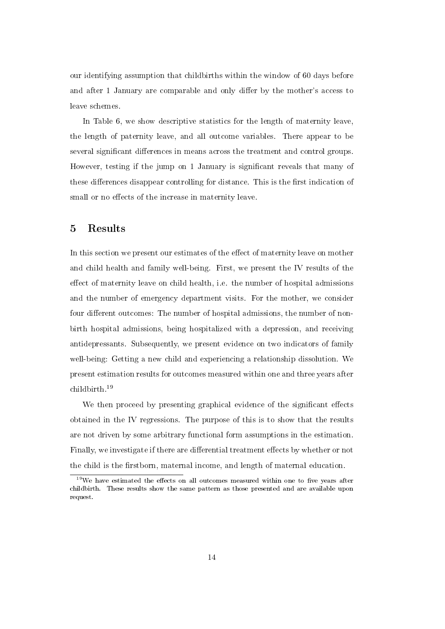our identifying assumption that childbirths within the window of 60 days before and after 1 January are comparable and only differ by the mother's access to leave schemes.

In Table 6, we show descriptive statistics for the length of maternity leave, the length of paternity leave, and all outcome variables. There appear to be several significant differences in means across the treatment and control groups. However, testing if the jump on 1 January is signicant reveals that many of these differences disappear controlling for distance. This is the first indication of small or no effects of the increase in maternity leave.

### 5 Results

In this section we present our estimates of the effect of maternity leave on mother and child health and family well-being. First, we present the IV results of the effect of maternity leave on child health, i.e. the number of hospital admissions and the number of emergency department visits. For the mother, we consider four different outcomes: The number of hospital admissions, the number of nonbirth hospital admissions, being hospitalized with a depression, and receiving antidepressants. Subsequently, we present evidence on two indicators of family well-being: Getting a new child and experiencing a relationship dissolution. We present estimation results for outcomes measured within one and three years after childbirth.<sup>19</sup>

We then proceed by presenting graphical evidence of the significant effects obtained in the IV regressions. The purpose of this is to show that the results are not driven by some arbitrary functional form assumptions in the estimation. Finally, we investigate if there are differential treatment effects by whether or not the child is the firstborn, maternal income, and length of maternal education.

 $19\,\text{We have estimated the effects on all outcomes measured within one to five years after}$ childbirth. These results show the same pattern as those presented and are available upon request.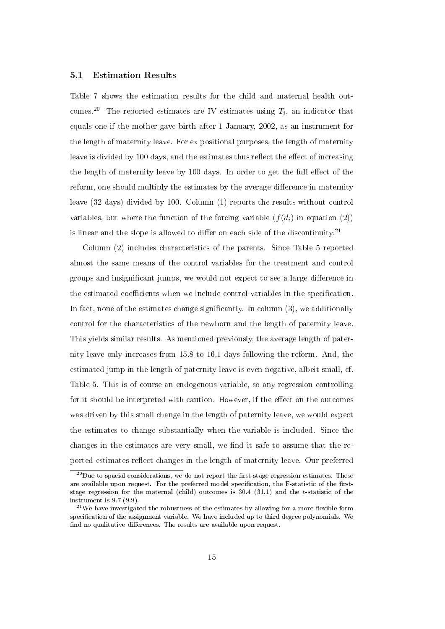#### 5.1 Estimation Results

Table 7 shows the estimation results for the child and maternal health outcomes.<sup>20</sup> The reported estimates are IV estimates using  $T_i$ , an indicator that equals one if the mother gave birth after 1 January, 2002, as an instrument for the length of maternity leave. For ex positional purposes, the length of maternity leave is divided by 100 days, and the estimates thus reflect the effect of increasing the length of maternity leave by 100 days. In order to get the full effect of the reform, one should multiply the estimates by the average difference in maternity leave (32 days) divided by 100. Column (1) reports the results without control variables, but where the function of the forcing variable  $(f(d_i))$  in equation (2)) is linear and the slope is allowed to differ on each side of the discontinuity.<sup>21</sup>

Column (2) includes characteristics of the parents. Since Table 5 reported almost the same means of the control variables for the treatment and control groups and insignificant jumps, we would not expect to see a large difference in the estimated coefficients when we include control variables in the specification. In fact, none of the estimates change significantly. In column  $(3)$ , we additionally control for the characteristics of the newborn and the length of paternity leave. This yields similar results. As mentioned previously, the average length of paternity leave only increases from 15.8 to 16.1 days following the reform. And, the estimated jump in the length of paternity leave is even negative, albeit small, cf. Table 5. This is of course an endogenous variable, so any regression controlling for it should be interpreted with caution. However, if the effect on the outcomes was driven by this small change in the length of paternity leave, we would expect the estimates to change substantially when the variable is included. Since the changes in the estimates are very small, we find it safe to assume that the reported estimates reflect changes in the length of maternity leave. Our preferred

 $^{20}$  Due to spacial considerations, we do not report the first-stage regression estimates. These are available upon request. For the preferred model specification, the F-statistic of the firststage regression for the maternal (child) outcomes is 30.4 (31.1) and the t-statistic of the instrument is 9.7 (9.9).

<sup>&</sup>lt;sup>21</sup>We have investigated the robustness of the estimates by allowing for a more flexible form specification of the assignment variable. We have included up to third degree polynomials. We find no qualitative differences. The results are available upon request.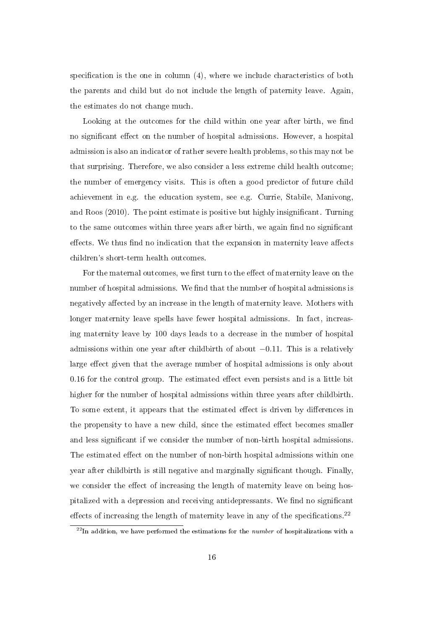specification is the one in column  $(4)$ , where we include characteristics of both the parents and child but do not include the length of paternity leave. Again, the estimates do not change much.

Looking at the outcomes for the child within one year after birth, we find no significant effect on the number of hospital admissions. However, a hospital admission is also an indicator of rather severe health problems, so this may not be that surprising. Therefore, we also consider a less extreme child health outcome; the number of emergency visits. This is often a good predictor of future child achievement in e.g. the education system, see e.g. Currie, Stabile, Manivong, and Roos (2010). The point estimate is positive but highly insignificant. Turning to the same outcomes within three years after birth, we again find no significant effects. We thus find no indication that the expansion in maternity leave affects children's short-term health outcomes.

For the maternal outcomes, we first turn to the effect of maternity leave on the number of hospital admissions. We find that the number of hospital admissions is negatively affected by an increase in the length of maternity leave. Mothers with longer maternity leave spells have fewer hospital admissions. In fact, increasing maternity leave by 100 days leads to a decrease in the number of hospital admissions within one year after childbirth of about −0.11. This is a relatively large effect given that the average number of hospital admissions is only about  $0.16$  for the control group. The estimated effect even persists and is a little bit higher for the number of hospital admissions within three years after childbirth. To some extent, it appears that the estimated effect is driven by differences in the propensity to have a new child, since the estimated effect becomes smaller and less signicant if we consider the number of non-birth hospital admissions. The estimated effect on the number of non-birth hospital admissions within one year after childbirth is still negative and marginally signicant though. Finally, we consider the effect of increasing the length of maternity leave on being hospitalized with a depression and receiving antidepressants. We find no significant effects of increasing the length of maternity leave in any of the specifications.<sup>22</sup>

 $^{22}$ In addition, we have performed the estimations for the *number* of hospitalizations with a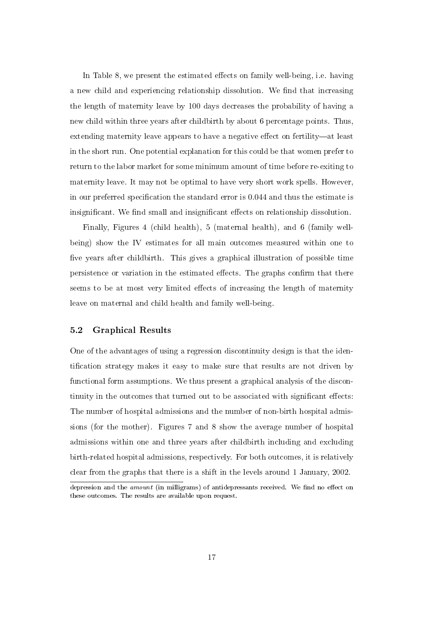In Table 8, we present the estimated effects on family well-being, i.e. having a new child and experiencing relationship dissolution. We find that increasing the length of maternity leave by 100 days decreases the probability of having a new child within three years after childbirth by about 6 percentage points. Thus, extending maternity leave appears to have a negative effect on fertility—at least in the short run. One potential explanation for this could be that women prefer to return to the labor market for some minimum amount of time before re-exiting to maternity leave. It may not be optimal to have very short work spells. However, in our preferred specification the standard error is 0.044 and thus the estimate is insignificant. We find small and insignificant effects on relationship dissolution.

Finally, Figures 4 (child health), 5 (maternal health), and 6 (family wellbeing) show the IV estimates for all main outcomes measured within one to five years after childbirth. This gives a graphical illustration of possible time persistence or variation in the estimated effects. The graphs confirm that there seems to be at most very limited effects of increasing the length of maternity leave on maternal and child health and family well-being.

#### 5.2 Graphical Results

One of the advantages of using a regression discontinuity design is that the identification strategy makes it easy to make sure that results are not driven by functional form assumptions. We thus present a graphical analysis of the discontinuity in the outcomes that turned out to be associated with significant effects: The number of hospital admissions and the number of non-birth hospital admissions (for the mother). Figures 7 and 8 show the average number of hospital admissions within one and three years after childbirth including and excluding birth-related hospital admissions, respectively. For both outcomes, it is relatively clear from the graphs that there is a shift in the levels around 1 January, 2002.

depression and the *amount* (in milligrams) of antidepressants received. We find no effect on these outcomes. The results are available upon request.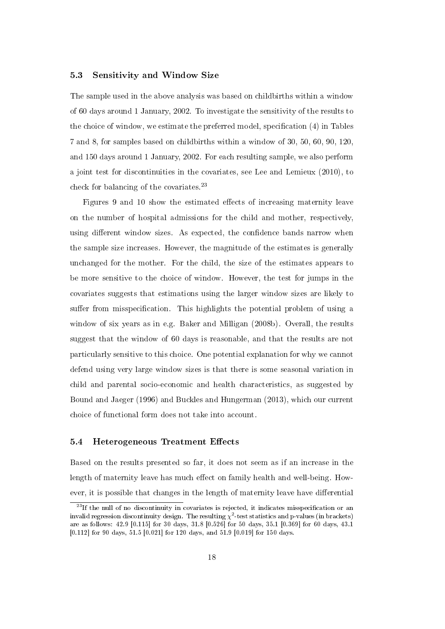#### 5.3 Sensitivity and Window Size

The sample used in the above analysis was based on childbirths within a window of 60 days around 1 January, 2002. To investigate the sensitivity of the results to the choice of window, we estimate the preferred model, specification (4) in Tables 7 and 8, for samples based on childbirths within a window of 30, 50, 60, 90, 120, and 150 days around 1 January, 2002. For each resulting sample, we also perform a joint test for discontinuities in the covariates, see Lee and Lemieux (2010), to check for balancing of the covariates.<sup>23</sup>

Figures 9 and 10 show the estimated effects of increasing maternity leave on the number of hospital admissions for the child and mother, respectively, using different window sizes. As expected, the confidence bands narrow when the sample size increases. However, the magnitude of the estimates is generally unchanged for the mother. For the child, the size of the estimates appears to be more sensitive to the choice of window. However, the test for jumps in the covariates suggests that estimations using the larger window sizes are likely to suffer from misspecification. This highlights the potential problem of using a window of six years as in e.g. Baker and Milligan (2008b). Overall, the results suggest that the window of 60 days is reasonable, and that the results are not particularly sensitive to this choice. One potential explanation for why we cannot defend using very large window sizes is that there is some seasonal variation in child and parental socio-economic and health characteristics, as suggested by Bound and Jaeger (1996) and Buckles and Hungerman (2013), which our current choice of functional form does not take into account.

#### 5.4 Heterogeneous Treatment Effects

Based on the results presented so far, it does not seem as if an increase in the length of maternity leave has much effect on family health and well-being. However, it is possible that changes in the length of maternity leave have differential

 $23$ If the null of no discontinuity in covariates is rejected, it indicates misspecification or an invalid regression discontinuity design. The resulting  $\chi^2$ -test statistics and p-values (in brackets) are as follows: 42.9 [0.115] for 30 days, 31.8 [0.526] for 50 days, 35.1 [0.369] for 60 days, 43.1 [0.112] for 90 days, 51.5 [0.021] for 120 days, and 51.9 [0.019] for 150 days.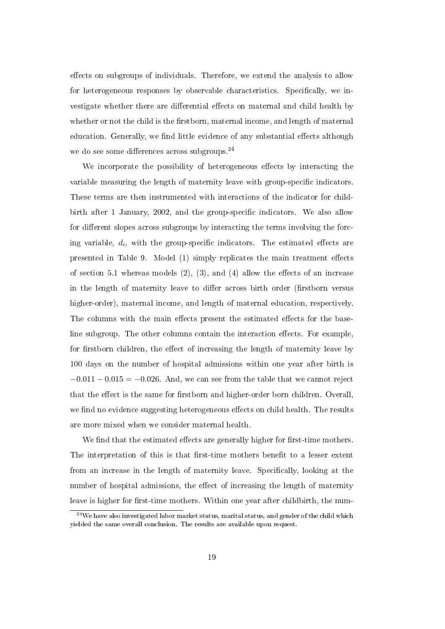effects on subgroups of individuals. Therefore, we extend the analysis to allow for heterogeneous responses by observable characteristics. Specifically, we investigate whether there are differential effects on maternal and child health by whether or not the child is the firstborn, maternal income, and length of maternal education. Generally, we find little evidence of any substantial effects although we do see some differences across subgroups. $^{24}$ 

We incorporate the possibility of heterogeneous effects by interacting the variable measuring the length of maternity leave with group-specific indicators. These terms are then instrumented with interactions of the indicator for childbirth after 1 January, 2002, and the group-specific indicators. We also allow for different slopes across subgroups by interacting the terms involving the forcing variable,  $d_i$ , with the group-specific indicators. The estimated effects are presented in Table 9. Model  $(1)$  simply replicates the main treatment effects of section 5.1 whereas models  $(2)$ ,  $(3)$ , and  $(4)$  allow the effects of an increase in the length of maternity leave to differ across birth order (firstborn versus higher-order), maternal income, and length of maternal education, respectively. The columns with the main effects present the estimated effects for the baseline subgroup. The other columns contain the interaction effects. For example, for firstborn children, the effect of increasing the length of maternity leave by 100 days on the number of hospital admissions within one year after birth is  $-0.011 - 0.015 = -0.026$ . And, we can see from the table that we cannot reject that the effect is the same for firstborn and higher-order born children. Overall, we find no evidence suggesting heterogeneous effects on child health. The results are more mixed when we consider maternal health.

We find that the estimated effects are generally higher for first-time mothers. The interpretation of this is that first-time mothers benefit to a lesser extent from an increase in the length of maternity leave. Specifically, looking at the number of hospital admissions, the effect of increasing the length of maternity leave is higher for first-time mothers. Within one year after childbirth, the num-

 $24$ We have also investigated labor market status, marital status, and gender of the child which yielded the same overall conclusion. The results are available upon request.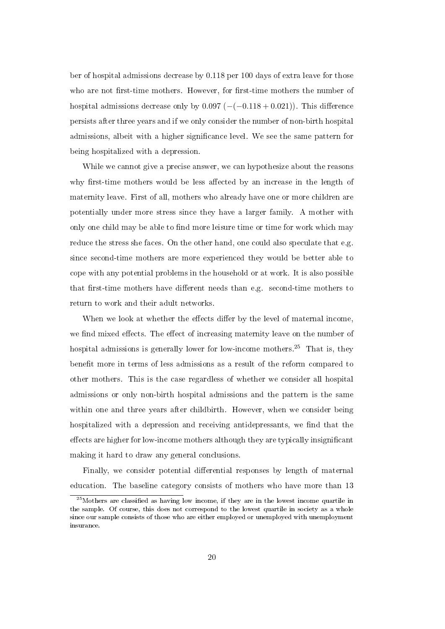ber of hospital admissions decrease by 0.118 per 100 days of extra leave for those who are not first-time mothers. However, for first-time mothers the number of hospital admissions decrease only by  $0.097$  ( $-(-0.118 + 0.021)$ ). This difference persists after three years and if we only consider the number of non-birth hospital admissions, albeit with a higher signicance level. We see the same pattern for being hospitalized with a depression.

While we cannot give a precise answer, we can hypothesize about the reasons why first-time mothers would be less affected by an increase in the length of maternity leave. First of all, mothers who already have one or more children are potentially under more stress since they have a larger family. A mother with only one child may be able to find more leisure time or time for work which may reduce the stress she faces. On the other hand, one could also speculate that e.g. since second-time mothers are more experienced they would be better able to cope with any potential problems in the household or at work. It is also possible that first-time mothers have different needs than e.g. second-time mothers to return to work and their adult networks.

When we look at whether the effects differ by the level of maternal income, we find mixed effects. The effect of increasing maternity leave on the number of hospital admissions is generally lower for low-income mothers.<sup>25</sup> That is, they benefit more in terms of less admissions as a result of the reform compared to other mothers. This is the case regardless of whether we consider all hospital admissions or only non-birth hospital admissions and the pattern is the same within one and three years after childbirth. However, when we consider being hospitalized with a depression and receiving antidepressants, we find that the effects are higher for low-income mothers although they are typically insignificant making it hard to draw any general conclusions.

Finally, we consider potential differential responses by length of maternal education. The baseline category consists of mothers who have more than 13

 $25$ Mothers are classified as having low income, if they are in the lowest income quartile in the sample. Of course, this does not correspond to the lowest quartile in society as a whole since our sample consists of those who are either employed or unemployed with unemployment insurance.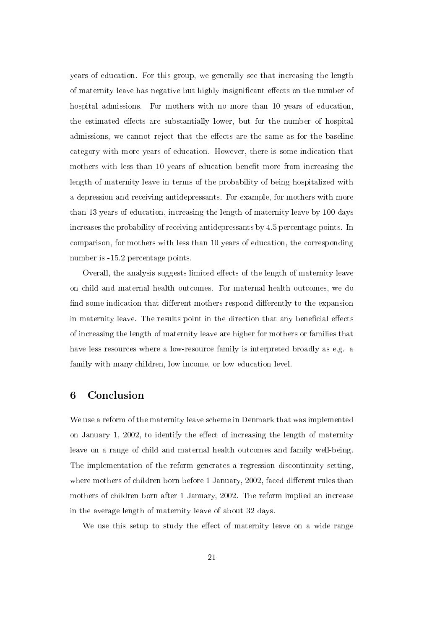years of education. For this group, we generally see that increasing the length of maternity leave has negative but highly insignificant effects on the number of hospital admissions. For mothers with no more than 10 years of education, the estimated effects are substantially lower, but for the number of hospital admissions, we cannot reject that the effects are the same as for the baseline category with more years of education. However, there is some indication that mothers with less than 10 years of education benefit more from increasing the length of maternity leave in terms of the probability of being hospitalized with a depression and receiving antidepressants. For example, for mothers with more than 13 years of education, increasing the length of maternity leave by 100 days increases the probability of receiving antidepressants by 4.5 percentage points. In comparison, for mothers with less than 10 years of education, the corresponding number is -15.2 percentage points.

Overall, the analysis suggests limited effects of the length of maternity leave on child and maternal health outcomes. For maternal health outcomes, we do find some indication that different mothers respond differently to the expansion in maternity leave. The results point in the direction that any beneficial effects of increasing the length of maternity leave are higher for mothers or families that have less resources where a low-resource family is interpreted broadly as e.g. a family with many children, low income, or low education level.

#### 6 Conclusion

We use a reform of the maternity leave scheme in Denmark that was implemented on January 1, 2002, to identify the effect of increasing the length of maternity leave on a range of child and maternal health outcomes and family well-being. The implementation of the reform generates a regression discontinuity setting, where mothers of children born before 1 January, 2002, faced different rules than mothers of children born after 1 January, 2002. The reform implied an increase in the average length of maternity leave of about 32 days.

We use this setup to study the effect of maternity leave on a wide range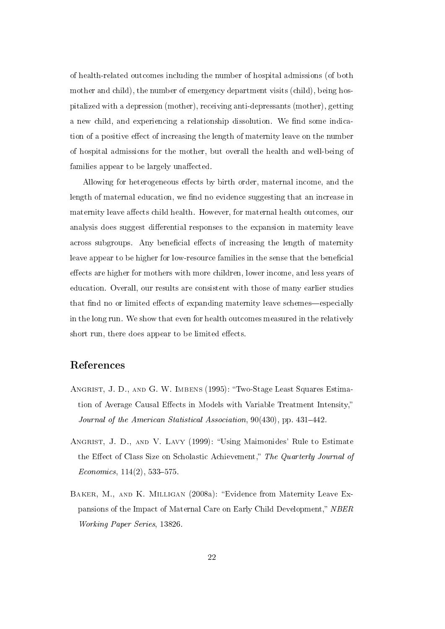of health-related outcomes including the number of hospital admissions (of both mother and child), the number of emergency department visits (child), being hospitalized with a depression (mother), receiving anti-depressants (mother), getting a new child, and experiencing a relationship dissolution. We find some indication of a positive effect of increasing the length of maternity leave on the number of hospital admissions for the mother, but overall the health and well-being of families appear to be largely unaffected.

Allowing for heterogeneous effects by birth order, maternal income, and the length of maternal education, we find no evidence suggesting that an increase in maternity leave affects child health. However, for maternal health outcomes, our analysis does suggest differential responses to the expansion in maternity leave across subgroups. Any beneficial effects of increasing the length of maternity leave appear to be higher for low-resource families in the sense that the beneficial effects are higher for mothers with more children, lower income, and less years of education. Overall, our results are consistent with those of many earlier studies that find no or limited effects of expanding maternity leave schemes—especially in the long run. We show that even for health outcomes measured in the relatively short run, there does appear to be limited effects.

### References

- ANGRIST, J. D., AND G. W. IMBENS (1995): "Two-Stage Least Squares Estimation of Average Causal Effects in Models with Variable Treatment Intensity," Journal of the American Statistical Association,  $90(430)$ , pp.  $431-442$ .
- ANGRIST, J. D., AND V. LAVY (1999): "Using Maimonides' Rule to Estimate the Effect of Class Size on Scholastic Achievement," The Quarterly Journal of  $Economics, 114(2), 533-575.$
- BAKER, M., AND K. MILLIGAN (2008a): "Evidence from Maternity Leave Expansions of the Impact of Maternal Care on Early Child Development," NBER Working Paper Series, 13826.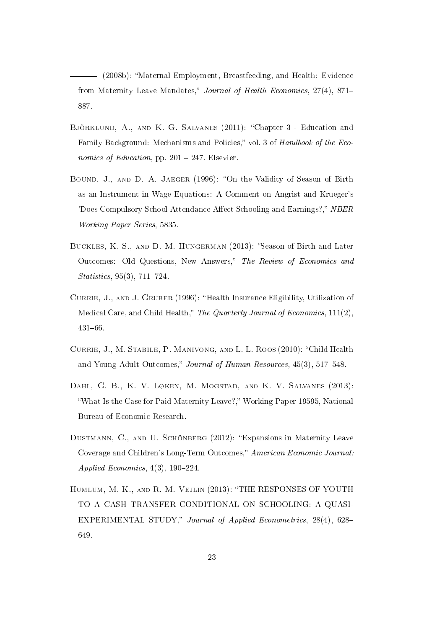(2008b): Maternal Employment, Breastfeeding, and Health: Evidence from Maternity Leave Mandates," Journal of Health Economics, 27(4), 871-887.

- Björklund, A., and K. G. Salvanes (2011): Chapter 3 Education and Family Background: Mechanisms and Policies," vol. 3 of Handbook of the Economics of Education, pp.  $201 - 247$ . Elsevier.
- BOUND, J., AND D. A. JAEGER (1996): "On the Validity of Season of Birth as an Instrument in Wage Equations: A Comment on Angrist and Krueger's 'Does Compulsory School Attendance Affect Schooling and Earnings?," NBER Working Paper Series, 5835.
- BUCKLES, K. S., AND D. M. HUNGERMAN (2013): "Season of Birth and Later Outcomes: Old Questions, New Answers," The Review of Economics and  $Statistics, 95(3), 711–724.$
- CURRIE, J., AND J. GRUBER (1996): "Health Insurance Eligibility, Utilization of Medical Care, and Child Health," The Quarterly Journal of Economics, 111(2), 431-66.
- CURRIE, J., M. STABILE, P. MANIVONG, AND L. L. ROOS (2010): "Child Health and Young Adult Outcomes," Journal of Human Resources, 45(3), 517-548.
- Dahl, G. B., K. V. Løken, M. Mogstad, and K. V. Salvanes (2013): "What Is the Case for Paid Maternity Leave?," Working Paper 19595, National Bureau of Economic Research.
- DUSTMANN, C., AND U. SCHÖNBERG (2012): "Expansions in Maternity Leave Coverage and Children's Long-Term Outcomes," American Economic Journal: Applied Economics,  $4(3)$ , 190-224.
- HUMLUM, M. K., AND R. M. VEJLIN (2013): "THE RESPONSES OF YOUTH TO A CASH TRANSFER CONDITIONAL ON SCHOOLING: A QUASI-EXPERIMENTAL STUDY," Journal of Applied Econometrics, 28(4), 628-649.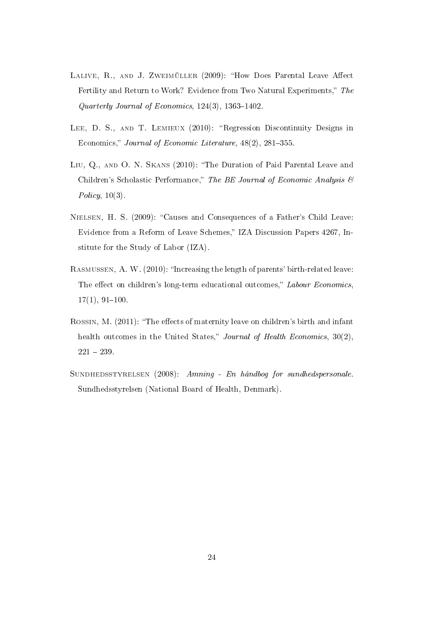- LALIVE, R., AND J. ZWEIMÜLLER (2009): "How Does Parental Leave Affect Fertility and Return to Work? Evidence from Two Natural Experiments," The Quarterly Journal of Economics,  $124(3)$ ,  $1363-1402$ .
- LEE, D. S., AND T. LEMIEUX (2010): "Regression Discontinuity Designs in Economics," Journal of Economic Literature, 48(2), 281-355.
- Liu, Q., and O. N. Skans (2010): The Duration of Paid Parental Leave and Children's Scholastic Performance," The BE Journal of Economic Analysis  $\mathcal B$ Policy,  $10(3)$ .
- NIELSEN, H. S. (2009): "Causes and Consequences of a Father's Child Leave: Evidence from a Reform of Leave Schemes," IZA Discussion Papers 4267, Institute for the Study of Labor (IZA).
- RASMUSSEN, A. W. (2010): "Increasing the length of parents' birth-related leave: The effect on children's long-term educational outcomes," Labour Economics.  $17(1), 91-100.$
- ROSSIN, M. (2011): "The effects of maternity leave on children's birth and infant health outcomes in the United States," Journal of Health Economics,  $30(2)$ .  $221 - 239$ .
- SUNDHEDSSTYRELSEN (2008): Amning En håndbog for sundhedspersonale. Sundhedsstyrelsen (National Board of Health, Denmark).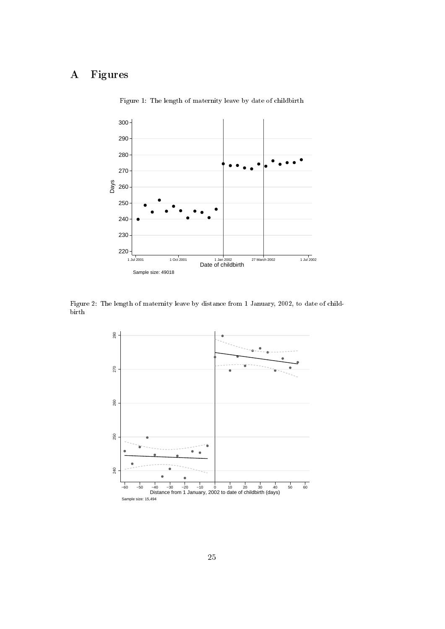## A Figures



Figure 1: The length of maternity leave by date of childbirth

Figure 2: The length of maternity leave by distance from 1 January, 2002, to date of childbirth

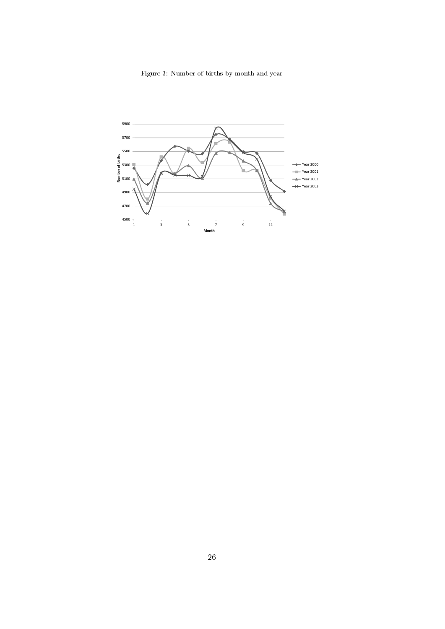Figure 3: Number of births by month and year

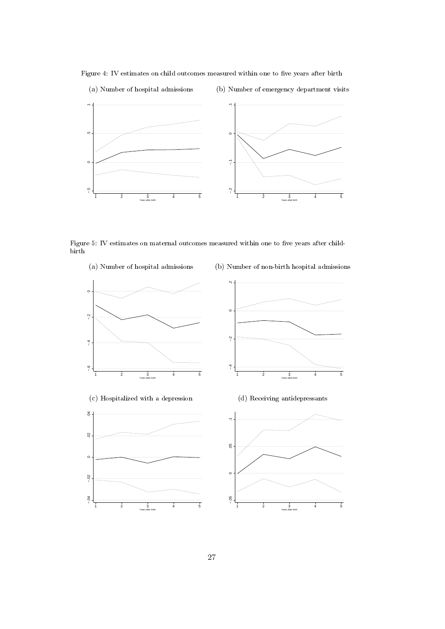Figure 4: IV estimates on child outcomes measured within one to five years after birth

(a) Number of hospital admissions





Figure 5: IV estimates on maternal outcomes measured within one to five years after childbirth

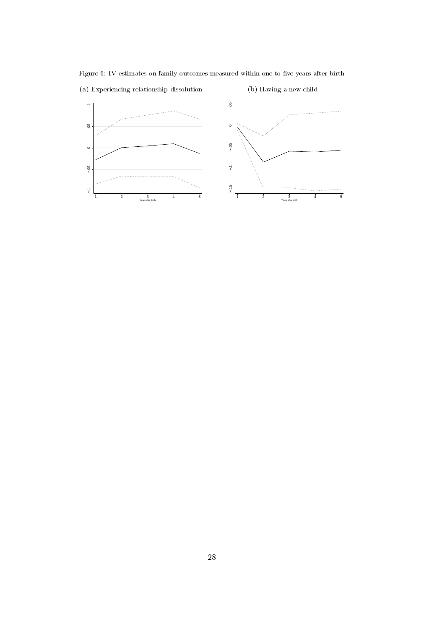Figure 6: IV estimates on family outcomes measured within one to five years after birth (a) Experiencing relationship dissolution (b) Having a new child

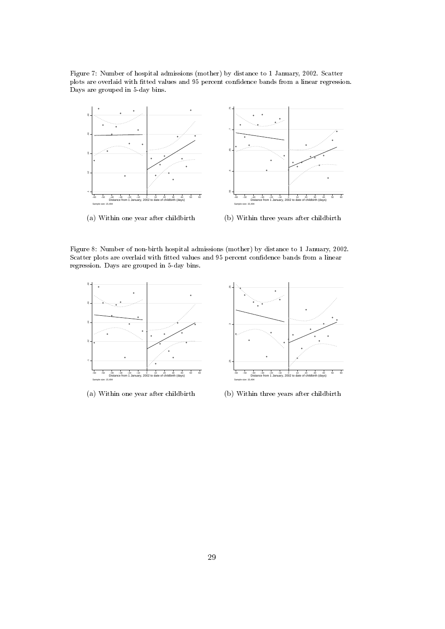Figure 7: Number of hospital admissions (mother) by distance to 1 January, 2002. Scatter plots are overlaid with tted values and 95 percent condence bands from a linear regression. Days are grouped in 5-day bins.



(a) Within one year after childbirth

(b) Within three years after childbirth

Figure 8: Number of non-birth hospital admissions (mother) by distance to 1 January, 2002. Scatter plots are overlaid with fitted values and 95 percent confidence bands from a linear regression. Days are grouped in 5-day bins.



(a) Within one year after childbirth

(b) Within three years after childbirth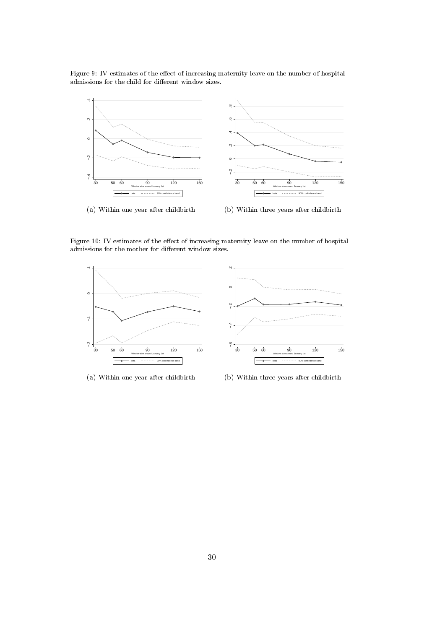Figure 9: IV estimates of the effect of increasing maternity leave on the number of hospital admissions for the child for different window sizes.



Figure 10: IV estimates of the effect of increasing maternity leave on the number of hospital admissions for the mother for different window sizes.



(a) Within one year after childbirth

(b) Within three years after childbirth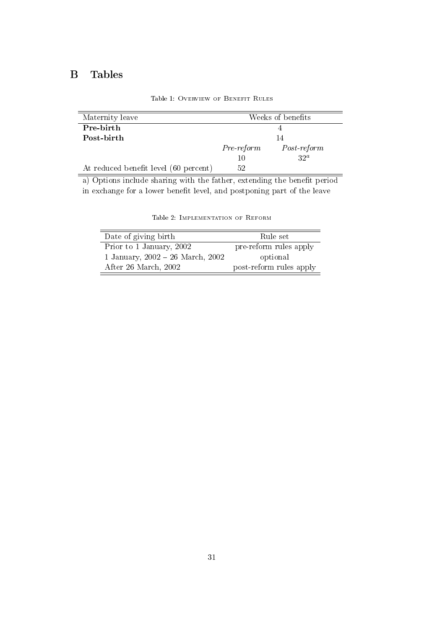## B Tables

| Maternity leave                       |              | Weeks of benefits |
|---------------------------------------|--------------|-------------------|
| Pre-birth                             |              |                   |
| Post-birth                            |              | 14                |
|                                       | $Pre-reform$ | $Post-reform$     |
|                                       | 10           | $32^a$            |
| At reduced benefit level (60 percent) | 52           |                   |

Table 1: Overview of Benefit Rules

a) Options include sharing with the father, extending the benefit period in exchange for a lower benefit level, and postponing part of the leave

| Date of giving birth                 | Rule set                |
|--------------------------------------|-------------------------|
| Prior to 1 January, 2002             | pre-reform rules apply  |
| 1 January, $2002 - 26$ March, $2002$ | optional                |
| After 26 March, 2002                 | post-reform rules apply |

Table 2: Implementation of Reform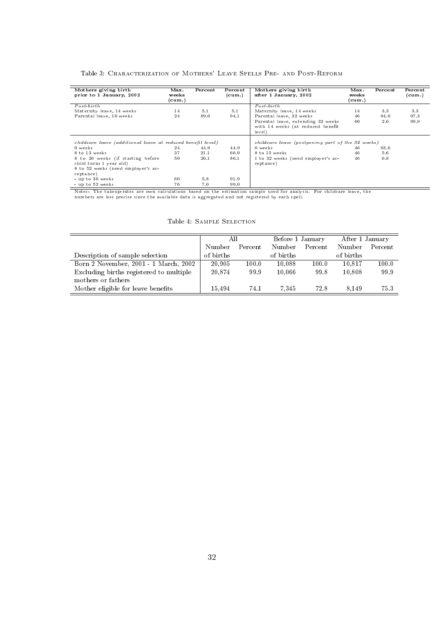#### Table 3: Characterization of Mothers' Leave Spells Pre- and Post-Reform

| Mothers giving birth<br>prior to 1 January, 2002                                                                | Max.<br>weeks<br>(cum.) | Percent | Percent<br>(cum.) | Mothers giving birth<br>after 1 January, 2002                                     | Max.<br>weeks<br>(cum.) | Percent | Percent<br>(cum.) |
|-----------------------------------------------------------------------------------------------------------------|-------------------------|---------|-------------------|-----------------------------------------------------------------------------------|-------------------------|---------|-------------------|
| $Post \text{-} birth$                                                                                           |                         |         |                   | $Post \cdot birth$                                                                |                         |         |                   |
| Maternity leave, 14 weeks                                                                                       | 14                      | 5.1     | 5.1               | Maternity leave, 14 weeks                                                         | 14                      | 3.3     | 3.3               |
| Parental leave, 10 weeks                                                                                        | 24                      | 89.0    | 94.1              | Parental leave, 32 weeks                                                          | 46                      | 94.0    | 97.3              |
|                                                                                                                 |                         |         |                   | Parental leave, extending 32 weeks<br>with 14 weeks (at reduced benefit<br>level) | 60                      | 2.6     | 99.9              |
| childcare leave (additional leave at reduced benefit level)                                                     |                         |         |                   | childcare leave (postponing part of the 32 weeks)                                 |                         |         |                   |
| 0 weeks                                                                                                         | 24                      | 44.9    | 44.9              | 0 weeks                                                                           | 46                      | 93.6    |                   |
| 8 to 13 weeks                                                                                                   | 37                      | 21.1    | 66.0              | 8 to 13 weeks                                                                     | 46                      | 5.6     |                   |
| 8 to 26 weeks (if starting before<br>child turns 1 year old)<br>8 to 52 weeks (need employer's ac-<br>ceptance) | 50                      | 20.1    | 86.1              | 1 to 32 weeks (need employer's ac-<br>ceptance)                                   | 46                      | 0.8     |                   |
| - up to 36 weeks                                                                                                | 60                      | 5.8     | 91.9              |                                                                                   |                         |         |                   |
| - up to 52 weeks                                                                                                | 76                      | 7.0     | 99.0              |                                                                                   |                         |         |                   |

 $\overline{\phantom{a}}$ 

Notes: The takeup-rates are own calculations based on the estimation sample used for analysis. For childcare leave, the numbers are less precise since the available data is aggregated and not registered by each spell.

|                                         | All       |         | Before 1 January |         | After 1 January |         |
|-----------------------------------------|-----------|---------|------------------|---------|-----------------|---------|
|                                         | Number    | Percent | Number           | Percent | Number          | Percent |
| Description of sample selection         | of births |         | of births        |         | of births       |         |
| Born 2 November, 2001 - 1 March, 2002   | 20,905    | 100.0   | 10.088           | 100.0   | 10.817          | 100.0   |
| Excluding births registered to multiple | 20.874    | 99.9    | 10.066           | 99.8    | 10.808          | 99.9    |
| mothers or fathers                      |           |         |                  |         |                 |         |
| Mother eligible for leave benefits      | 15.494    | 74.1    | 7.345            | 72.8    | 8.149           | 75.3    |

#### Table 4: Sample Selection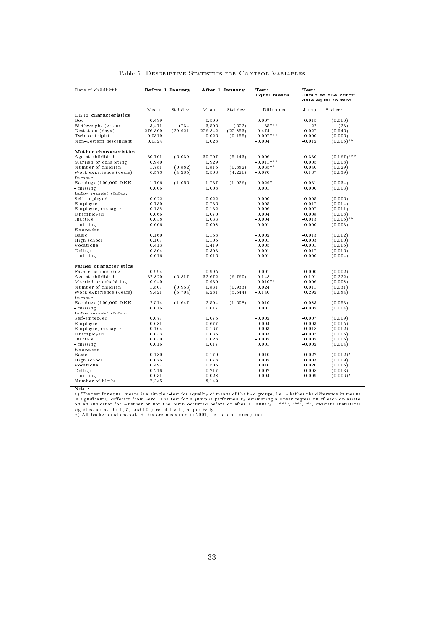| Date of childbirth                 |         | Before 1 January |         | After 1 January | Test:       | Test:    |                                          |
|------------------------------------|---------|------------------|---------|-----------------|-------------|----------|------------------------------------------|
|                                    |         |                  |         |                 | Equal means |          | Jump at the cutoff<br>date equal to zero |
|                                    | Mean    | Std.dev          | Mean    | Std.dev         | Difference  | Jump     | Std.err.                                 |
| Child characteristics              |         |                  |         |                 |             |          |                                          |
| Boy                                | 0.499   |                  | 0.506   |                 | 0.007       | 0.015    | (0.016)                                  |
| Birthweight (grams)                | 3,471   | (734)            | 3,506   | (672)           | $35***$     | 22       | (23)                                     |
| Gestation (days)                   | 276.369 | (29.921)         | 276.842 | (27.853)        | 0.474       | 0.027    | (0.945)                                  |
| Twin or triplet                    | 0.0319  |                  | 0.025   | (0.155)         | $-0.007***$ | 0.000    | (0.005)                                  |
| Non-western descendant             | 0.0324  |                  | 0.028   |                 | $-0.004$    | $-0.012$ | $(0.006)$ **                             |
| Mother characteristics             |         |                  |         |                 |             |          |                                          |
| Age at childbirth                  | 30.701  | (5.039)          | 30.707  | (5.143)         | 0.006       | 0.330    | $(0.167)$ ***                            |
| Married or cohabiting              | 0.940   |                  | 0.929   |                 | $-0.011***$ | 0.005    | (0.008)                                  |
| Number of children                 | 1.781   | (0.882)          | 1.816   | (0.882)         | $0.035**$   | 0.040    | (0.029)                                  |
| Work experience (years)            | 6.573   | (4.285)          | 6.503   | (4.221)         | $-0.070$    | 0.137    | (0.139)                                  |
| Income:                            |         |                  |         |                 |             |          |                                          |
| Earnings (100,000 DKK)             | 1.766   | (1.055)          | 1.737   | (1.026)         | $-0.029*$   | 0.031    | (0.034)                                  |
| - missing                          | 0.006   |                  | 0.008   |                 | 0.001       | 0.000    | (0.003)                                  |
| ${\it Labor\ market\ status:}$     |         |                  |         |                 |             |          |                                          |
| Self-employed                      | 0.022   |                  | 0.022   |                 | 0.000       | $-0.005$ | (0.005)                                  |
| Employee                           | 0.730   |                  | 0.735   |                 | 0.005       | 0.017    | (0.014)                                  |
| Employee, manager                  | 0.138   |                  | 0.132   |                 | $-0.006$    | $-0.007$ | (0.011)                                  |
| Unemployed                         | 0.066   |                  | 0.070   |                 | 0.004       | 0.008    | (0.008)                                  |
| Inactive                           | 0.038   |                  | 0.033   |                 | $-0.004$    | $-0.013$ | $(0.006)$ **                             |
| - missing                          | 0.006   |                  | 0.008   |                 | 0.001       | 0.000    | (0.003)                                  |
| Education:                         |         |                  |         |                 |             |          |                                          |
| <b>Basic</b>                       | 0.160   |                  | 0.158   |                 | $-0.002$    | $-0.013$ | (0.012)                                  |
| High school                        | 0.107   |                  | 0.106   |                 | $-0.001$    | $-0.003$ | (0.010)                                  |
| Vocational                         | 0.413   |                  | 0.419   |                 | 0.005       | $-0.001$ | (0.016)                                  |
| College                            | 0.304   |                  | 0.303   |                 | $-0.001$    | 0.017    | (0.015)                                  |
| - missing                          | 0.016   |                  | 0.015   |                 | $-0.001$    | 0.000    | (0.004)                                  |
| Father characteristics             |         |                  |         |                 |             |          |                                          |
| Father non-missing                 | 0.994   |                  | 0.995   |                 | 0.001       | 0.000    | (0.002)                                  |
| Age at childbirth                  | 32.820  | (6.817)          | 32.672  | (6.760)         | $-0.148$    | 0.191    | (0.222)                                  |
| Married or cohabiting              | 0.940   |                  | 0.930   |                 | $-0.010**$  | 0.006    | (0.008)                                  |
| Number of children                 | 1.807   | (0.953)          | 1.831   | (0.933)         | 0.024       | 0.011    | (0.031)                                  |
| Work experience (years)<br>Income: | 9.421   | (5.704)          | 9.281   | (5.544)         | $-0.140$    | 0.292    | (0.184)                                  |
| Earnings $(100,000 \text{ DKK})$   | 2.514   | (1.647)          | 2.504   | (1.608)         | $-0.010$    | 0.083    | (0.053)                                  |
| - missing                          | 0.016   |                  | 0.017   |                 | 0.001       | $-0.002$ | (0.004)                                  |
| Labor market status:               |         |                  |         |                 |             |          |                                          |
| Self-employed                      | 0.077   |                  | 0.075   |                 | $-0.002$    | $-0.007$ | (0.009)                                  |
| Employee                           | 0.681   |                  | 0.677   |                 | $-0.004$    | $-0.003$ | (0.015)                                  |
| Employee, manager                  | 0.164   |                  | 0.167   |                 | 0.003       | 0.018    | (0.012)                                  |
| Unemployed                         | 0.033   |                  | 0.036   |                 | 0.003       | $-0.007$ | (0.006)                                  |
| Inactive                           | 0.030   |                  | 0.028   |                 | $-0.002$    | 0.002    | (0.006)                                  |
| - missing                          | 0.016   |                  | 0.017   |                 | 0.001       | $-0.002$ | (0.004)                                  |
| Education:                         |         |                  |         |                 |             |          |                                          |
| Basic                              | 0.180   |                  | 0.170   |                 | $-0.010$    | $-0.022$ | $(0.012)^*$                              |
| High school                        | 0.076   |                  | 0.078   |                 | 0.002       | 0.003    | (0.009)                                  |
| Vocational                         | 0.497   |                  | 0.506   |                 | 0.010       | 0.020    | (0.016)                                  |
| College                            | 0.216   |                  | 0.217   |                 | 0.002       | 0.008    | (0.013)                                  |
| - missing                          | 0.031   |                  | 0.028   |                 | $-0.004$    | $-0.009$ | $(0.006)^*$                              |
| Number of births                   | 7,345   |                  | 8,149   |                 |             |          |                                          |

#### Table 5: Descriptive Statistics for Control Variables

Notes:<br>a) The test for equal means is a simple t-test for equality of means of the two groups, i.e. whether the difference in means<br>is significantly different from zero. The test for a jump is performed by estimating a lin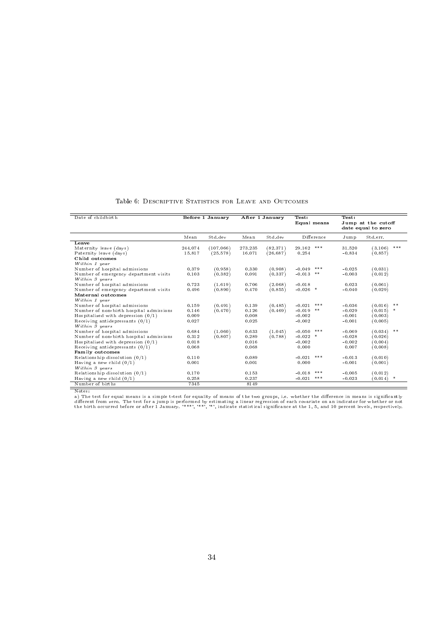| Date of childbirth                      |         | Before 1 January |         | After 1 January | Test:              | Test:    |                    |
|-----------------------------------------|---------|------------------|---------|-----------------|--------------------|----------|--------------------|
|                                         |         |                  |         |                 | Equal means        |          | Jump at the cutoff |
|                                         |         |                  |         |                 |                    |          | date equal to zero |
|                                         | Mean    | Std dev          | Mean    | Std dev         | Difference         | Jump     | Std.err.           |
| Leave                                   |         |                  |         |                 |                    |          |                    |
| Maternity leave (days)                  | 244.074 | (107.066)        | 273 235 | (82.371)        | $***$<br>29.162    | 31.520   | ***<br>(3.106)     |
| Paternity leave (days)                  | 15.817  | (25.578)         | 16.071  | (26.687)        | 0.254              | $-0.834$ | (0.857)            |
| Child outcomes                          |         |                  |         |                 |                    |          |                    |
| Within 1 year                           |         |                  |         |                 |                    |          |                    |
| Number of hospital admissions           | 0.379   | (0.958)          | 0.330   | (0.908)         | ***<br>$-0.049$    | $-0.025$ | (0.031)            |
| Number of emergency department visits   | 0.103   | (0.382)          | 0.091   | (0.337)         | $-0.013$<br>$* *$  | $-0.003$ | (0.012)            |
| Within 3 years                          |         |                  |         |                 |                    |          |                    |
| Number of hospital admissions           | 0.723   | (1.619)          | 0.706   | (2.068)         | $-0.018$           | 0.023    | (0.061)            |
| Number of emergency department visits   | 0.496   | (0.890)          | 0.470   | (0.855)         | $-0.026$ *         | $-0.040$ | (0.029)            |
| Maternal outcomes                       |         |                  |         |                 |                    |          |                    |
| Within 1 year                           |         |                  |         |                 |                    |          |                    |
| Number of hospital admissions           | 0.159   | (0.491)          | 0.139   | (0.485)         | ***<br>$-0.021$    | $-0.036$ | (0.016)<br>$**$    |
| Number of non-birth hospital admissions | 0.146   | (0.470)          | 0.126   | (0.469)         | $* *$<br>$-0.019$  | $-0.029$ | (0.015)<br>*       |
| Hospitalized with depression $(0/1)$    | 0.009   |                  | 0.008   |                 | $-0.002$           | $-0.001$ | (0.003)            |
| Receiving antidepressants $(0/1)$       | 0.027   |                  | 0.025   |                 | $-0.002$           | $-0.001$ | (0.005)            |
| Within 3 years                          |         |                  |         |                 |                    |          |                    |
| Number of hospital admissions           | 0.684   | (1.060)          | 0.633   | (1.045)         | ***<br>$-0.050$    | $-0.069$ | $**$<br>(0.034)    |
| Number of non-birth hospital admissions | 0.312   | (0.807)          | 0.289   | (0.788)         | $-0.022$<br>$\ast$ | $-0.028$ | (0.026)            |
| Hospitalized with depression $(0/1)$    | 0.018   |                  | 0.016   |                 | $-0.002$           | $-0.002$ | (0.004)            |
| Receiving antidepressants $(0/1)$       | 0.068   |                  | 0.068   |                 | 0.000              | 0.007    | (0.008)            |
| Family outcomes                         |         |                  |         |                 |                    |          |                    |
| Relationship dissolution $(0/1)$        | 0.110   |                  | 0.089   |                 | ***<br>$-0.021$    | $-0.013$ | (0.010)            |
| Having a new child $(0/1)$              | 0.001   |                  | 0.001   |                 | 0.000              | $-0.001$ | (0.001)            |
| Within 3 years                          |         |                  |         |                 |                    |          |                    |
| Relationship dissolution $(0/1)$        | 0.170   |                  | 0.153   |                 | ***<br>$-0.018$    | $-0.005$ | (0.012)            |
| Having a new child $(0/1)$              | 0.258   |                  | 0.237   |                 | $***$<br>$-0.021$  | $-0.023$ | (0.014)<br>$\ast$  |
| Number of births                        | 7345    |                  | 8149    |                 |                    |          |                    |
|                                         |         |                  |         |                 |                    |          |                    |

Notes:<br>a) The test for equal means is a simple t-test for equality of means of the two groups, i.e. whether the difference in means is significantly<br>different from zero. The test for a jump is performed by estimating a lin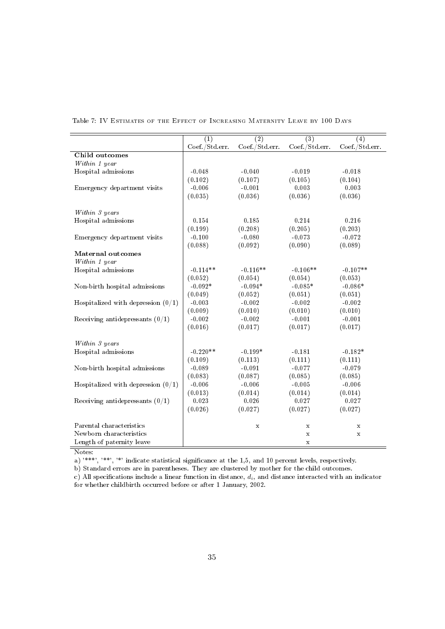|                                      | (1)            | $\overline{(2)}$ | $\overline{(3)}$ | $\left( 4\right)$ |
|--------------------------------------|----------------|------------------|------------------|-------------------|
|                                      | Coef./Std.err. | Coef./Std.err.   | Coef./Std.err.   | Coef./Std.err.    |
| Child outcomes                       |                |                  |                  |                   |
| Within 1 year                        |                |                  |                  |                   |
| Hospital admissions                  | $-0.048$       | $-0.040$         | $-0.019$         | $-0.018$          |
|                                      | (0.102)        | (0.107)          | (0.105)          | (0.104)           |
| Emergency department visits          | $-0.006$       | $-0.001$         | 0.003            | 0.003             |
|                                      | (0.035)        | (0.036)          | (0.036)          | (0.036)           |
|                                      |                |                  |                  |                   |
| Within 3 years                       |                |                  |                  |                   |
| Hospital admissions                  | 0.154          | 0.185            | 0.214            | 0.216             |
|                                      | (0.199)        | (0.208)          | (0.205)          | (0.203)           |
| Emergency department visits          | $-0.100$       | $-0.080$         | $-0.073$         | $-0.072$          |
|                                      | (0.088)        | (0.092)          | (0.090)          | (0.089)           |
| <b>Maternal outcomes</b>             |                |                  |                  |                   |
| Within 1 year                        |                |                  |                  |                   |
| Hospital admissions                  | $-0.114**$     | $-0.116**$       | $-0.106**$       | $-0.107**$        |
|                                      | (0.052)        | (0.054)          | (0.054)          | (0.053)           |
| Non-birth hospital admissions        | $-0.092*$      | $-0.094*$        | $-0.085*$        | $-0.086*$         |
|                                      | (0.049)        | (0.052)          | (0.051)          | (0.051)           |
| Hospitalized with depression $(0/1)$ | $-0.003$       | $-0.002$         | $-0.002$         | $-0.002$          |
|                                      | (0.009)        | (0.010)          | (0.010)          | (0.010)           |
| Receiving antidepressants $(0/1)$    | $-0.002$       | $-0.002$         | $-0.001$         | $-0.001$          |
|                                      | (0.016)        | (0.017)          | (0.017)          | (0.017)           |
|                                      |                |                  |                  |                   |
| Within 3 years                       |                |                  |                  |                   |
| Hospital admissions                  | $-0.220**$     | $-0.199*$        | $-0.181$         | $-0.182*$         |
|                                      | (0.109)        | (0.113)          | (0.111)          | (0.111)           |
| Non-birth hospital admissions        | $-0.089$       | $-0.091$         | $-0.077$         | $-0.079$          |
|                                      | (0.083)        | (0.087)          | (0.085)          | (0.085)           |
| Hospitalized with depression $(0/1)$ | $-0.006$       | $-0.006$         | $-0.005$         | $-0.006$          |
|                                      | (0.013)        | (0.014)          | (0.014)          | (0.014)           |
| Receiving antidepressants $(0/1)$    | 0.023          | 0.026            | 0.027            | 0.027             |
|                                      | (0.026)        | (0.027)          | (0.027)          | (0.027)           |
|                                      |                |                  |                  |                   |
| Parental characteristics             |                | $\mathbf x$      | $\mathbf x$      | $\mathbf x$       |
| Newborn characteristics              |                |                  | $\mathbf x$      | $\mathbf x$       |
| Length of paternity leave            |                |                  | $\mathbf x$      |                   |

Table 7: IV Estimates of the Effect of Increasing Maternity Leave by 100 Days

Notes:

a)  $^{***}$ ,  $^{***}$ ,  $^{***}$ ,  $^{**}$  indicate statistical significance at the 1,5, and 10 percent levels, respectively.

b) Standard errors are in parentheses. They are clustered by mother for the child outcomes. c) All specifications include a linear function in distance,  $d_i$ , and distance interacted with an indicator

for whether childbirth occurred before or after 1 January, 2002.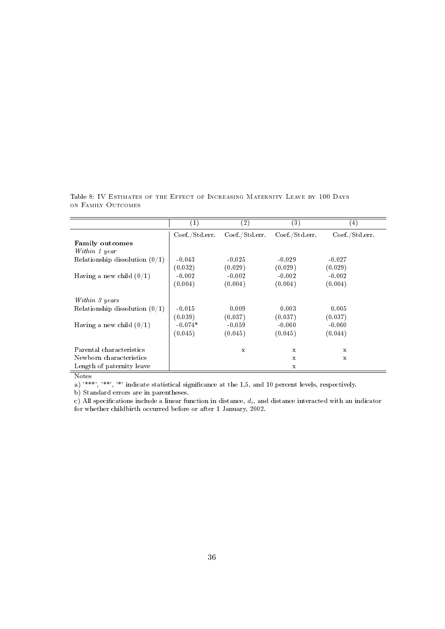|                                                                                  | $\left( 1\right)$                           | $^{\rm (2)}$                            | $\left( 3\right)$                       | 4)                                      |
|----------------------------------------------------------------------------------|---------------------------------------------|-----------------------------------------|-----------------------------------------|-----------------------------------------|
|                                                                                  | Coef./Std. err.                             | Coef./Std.err.                          | Coef./Std.err.                          | Coef./Std.err.                          |
| <b>Family outcomes</b>                                                           |                                             |                                         |                                         |                                         |
| Within 1 year                                                                    |                                             |                                         |                                         |                                         |
| Relationship dissolution $(0/1)$                                                 | $-0.043$                                    | $-0.025$                                | $-0.029$                                | $-0.027$                                |
|                                                                                  | (0.032)                                     | (0.029)                                 | (0.029)                                 | (0.029)                                 |
| Having a new child $(0/1)$                                                       | $-0.002$                                    | $-0.002$                                | $-0.002$                                | $-0.002$                                |
|                                                                                  | (0.004)                                     | (0.004)                                 | (0.004)                                 | (0.004)                                 |
| Within 3 years<br>Relationship dissolution $(0/1)$<br>Having a new child $(0/1)$ | $-0.015$<br>(0.039)<br>$-0.074*$<br>(0.045) | 0.009<br>(0.037)<br>$-0.059$<br>(0.045) | 0.003<br>(0.037)<br>$-0.060$<br>(0.045) | 0.005<br>(0.037)<br>$-0.060$<br>(0.044) |
| Parental characteristics                                                         |                                             | X                                       | X                                       | X                                       |
| Newborn characteristics                                                          |                                             |                                         | X                                       | X                                       |
| Length of paternity leave                                                        |                                             |                                         | х                                       |                                         |

Table 8: IV Estimates of the Effect of Increasing Maternity Leave by 100 Days on Family Outcomes

Notes

a) '\*\*\*', '\*\*', '\*' indicate statistical significance at the 1,5, and 10 percent levels, respectively.

b) Standard errors are in parentheses.

c) All specifications include a linear function in distance,  $d_i$ , and distance interacted with an indicator for whether childbirth occurred before or after 1 January, 2002.